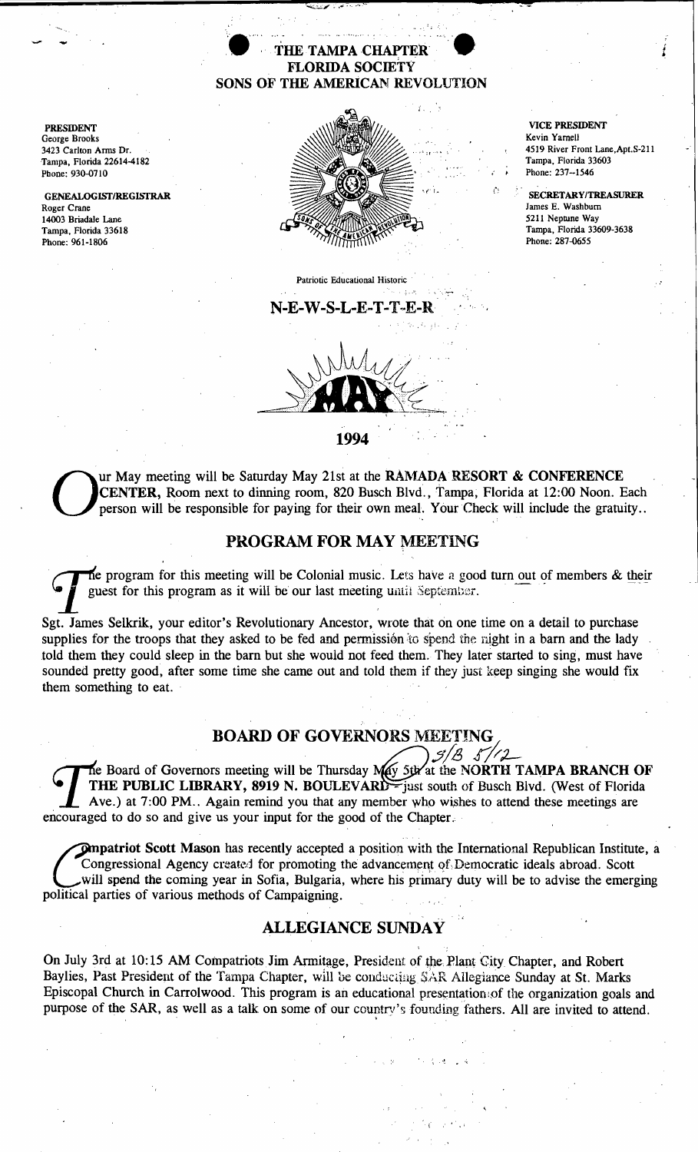### THE TAMPA CHAPTER FLORIDA SOCIETY SONS OF THE AMERICAN REVOLUTION

PRESIDENT George Brooks 3423 Carlton Anns Dr. Tampa, Florida 22614-4182 Phone: 930-0710

GENEALOGISf/REGISfRAR Roger Crane 14003 Briadale Lane Tampa, Florida 33618 Phone: 961-1806



".'. '; '..

Patriotic Educational Historic ..\_ ....



VICE PRESIDENT Kevin Yarnell 4519 River Front Lane,Apt.S-211 Tampa, Florida 33603 Phone: 237--1546

*i* 

SECRETARYITREASURER James E. Washburn 5211 Neptune Way Tampa, Florida 33609-3638 Phone: 287-0655

1994

N-E-W-S-L-E-T-T-E-R,

Our May meeting will be Saturday May 21st at the RAMADA RESORT & CONFERENCE CENTER, Room next to dinning room, 820 Busch Blvd., Tampa, Florida at 12:00 Noon. Each person will be responsible for paying for their own meal. Y CENTER, Room next to dinning room, 820 Busch Blvd., Tampa, Florida at 12:00 Noon. Each person will be responsible for paying for their own meal. Your Check will include the gratuity..

#### PROGRAM FOR MAY MEETING

The program for this meeting will be Colonial music. Lets have a good turn out of members & their guest for this program as it will be our last meeting until September.

Sgt. James Selkrik, your editor's Revolutionary Ancestor, wrote that on one time on a detail to purchase supplies for the troops that they asked to be fed and permission to spend the night in a barn and the lady told them they could sleep in the barn but she would not feed them. They later started to sing, must have sounded pretty good, after some time she came out and told them if they just keep singing she would fix them something to eat.

# BOARD OF GOVERNORS MEETING

**The Board of Governors meeting will be Thursday May 5th at the NORTH TAMPA BRANCH OF** THE PUBLIC LIBRARY, 8919 N. BOULEVARD - just south of Busch Blvd. (West of Florida Ave.) at 7:00 PM.. Again remind you that any member who wishes to attend these meetings are encouraged to do so and give us your input for the good of the Chapter.

**Ompatriot Scott Mason** has recently accepted a position with the International Republican Institute, a Congressional Agency created for promoting the advancement of Democratic ideals abroad. Scott will spend the coming year in Sofia, Bulgaria, where his primary duty will be to advise the emerging political parties of various methods of Campaigning.

## ALLEGIANCE SUNDAY

On July 3rd at 10:15 AM Compatriots Jim Armitage, President of the Plant City Chapter, and Robert Baylies, Past President of the Tampa Chapter, will be conducting SAR Allegiance Sunday at St. Marks Episcopal Church in Carrolwood. This program is an educational presentation of the organization goals and purpose of the SAR, as well as a talk on some of our country's founding fathers. All are invited to attend.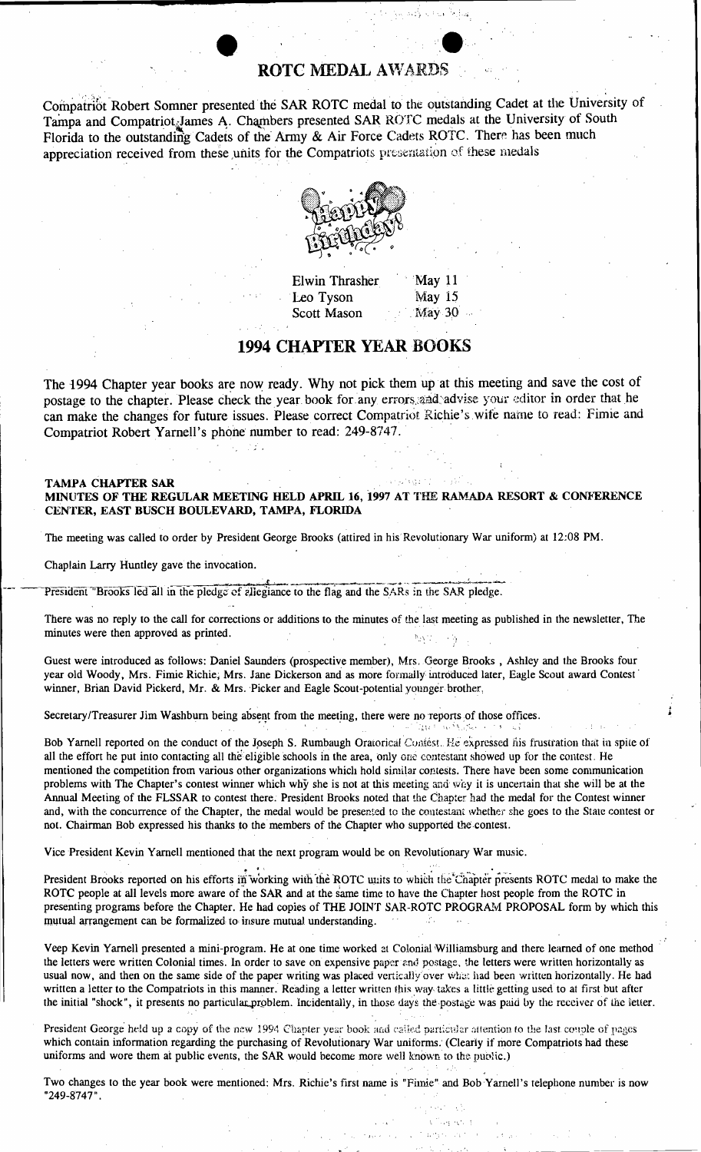## **ROTC MEDAL AWARDS**

Compatriot Robert Somner presented the SAR ROTC medal to the outstanding Cadet at the University of Tampa and Compatriot James A. Chambers presented SAR ROTC medals at the University of South Florida to the outstanding Cadets of the Army & Air Force Cadets ROTC. There has been much appreciation received from these units for the Compatriots presentation of these medals



**Elwin Thrasher** Leo Tyson **Scott Mason** 

May 11 **May 15** May 30

# **1994 CHAPTER YEAR BOOKS**

The 1994 Chapter year books are now ready. Why not pick them up at this meeting and save the cost of postage to the chapter. Please check the year book for any errors and advise your editor in order that he can make the changes for future issues. Please correct Compatriot Richie's wife name to read: Fimie and Compatriot Robert Yarnell's phone number to read: 249-8747.

#### **TAMPA CHAPTER SAR** MINUTES OF THE REGULAR MEETING HELD APRIL 16, 1997 AT THE RAMADA RESORT & CONFERENCE CENTER, EAST BUSCH BOULEVARD, TAMPA, FLORIDA

The meeting was called to order by President George Brooks (attired in his Revolutionary War uniform) at 12:08 PM.

Chaplain Larry Huntley gave the invocation.

President "Brooks led all in the pledge of ellegiance to the flag and the SARs in the SAR pledge.

И£.

There was no reply to the call for corrections or additions to the minutes of the last meeting as published in the newsletter. The minutes were then approved as printed.  $\mathfrak{b}_2\chi^{\frac{1}{12}}$  . 一座

Guest were introduced as follows: Daniel Saunders (prospective member), Mrs. George Brooks, Ashley and the Brooks four year old Woody, Mrs. Fimie Richie, Mrs. Jane Dickerson and as more formally introduced later, Eagle Scout award Contest winner, Brian David Pickerd, Mr. & Mrs. Picker and Eagle Scout-potential younger brother,

Secretary/Treasurer Jim Washburn being absent from the meeting, there were no reports of those offices.

Bob Yarnell reported on the conduct of the Joseph S. Rumbaugh Oratorical Contest. He expressed his frustration that in spite of all the effort he put into contacting all the eligible schools in the area, only one contestant showed up for the contest. He mentioned the competition from various other organizations which hold similar contests. There have been some communication problems with The Chapter's contest winner which why she is not at this meeting and way it is uncertain that she will be at the Annual Meeting of the FLSSAR to contest there. President Brooks noted that the Chapter had the medal for the Contest winner and, with the concurrence of the Chapter, the medal would be presented to the contestant whether she goes to the State contest or not. Chairman Bob expressed his thanks to the members of the Chapter who supported the contest.

Vice President Kevin Yarnell mentioned that the next program would be on Revolutionary War music.

President Brooks reported on his efforts in working with the ROTC units to which the Chapter presents ROTC medal to make the ROTC people at all levels more aware of the SAR and at the same time to have the Chapter host people from the ROTC in presenting programs before the Chapter. He had copies of THE JOINT SAR-ROTC PROGRAM PROPOSAL form by which this mutual arrangement can be formalized to insure mutual understanding.

Veep Kevin Yarnell presented a mini-program. He at one time worked at Colonial Williamsburg and there learned of one method the letters were written Colonial times. In order to save on expensive paper and postage, the letters were written horizontally as usual now, and then on the same side of the paper writing was placed vertically over what had been written horizontally. He had written a letter to the Compatriots in this manner. Reading a letter written this way takes a little getting used to at first but after the initial "shock", it presents no particular problem. Incidentally, in those days the postage was paid by the receiver of the letter.

President George held up a copy of the new 1994 Chapter year book and called particular attention to the last couple of pages which contain information regarding the purchasing of Revolutionary War uniforms. (Clearly if more Compatriots had these uniforms and wore them at public events, the SAR would become more well known to the public.)

Two changes to the year book were mentioned: Mrs. Richie's first name is "Fimie" and Bob Yarnell's telephone number is now "249-8747".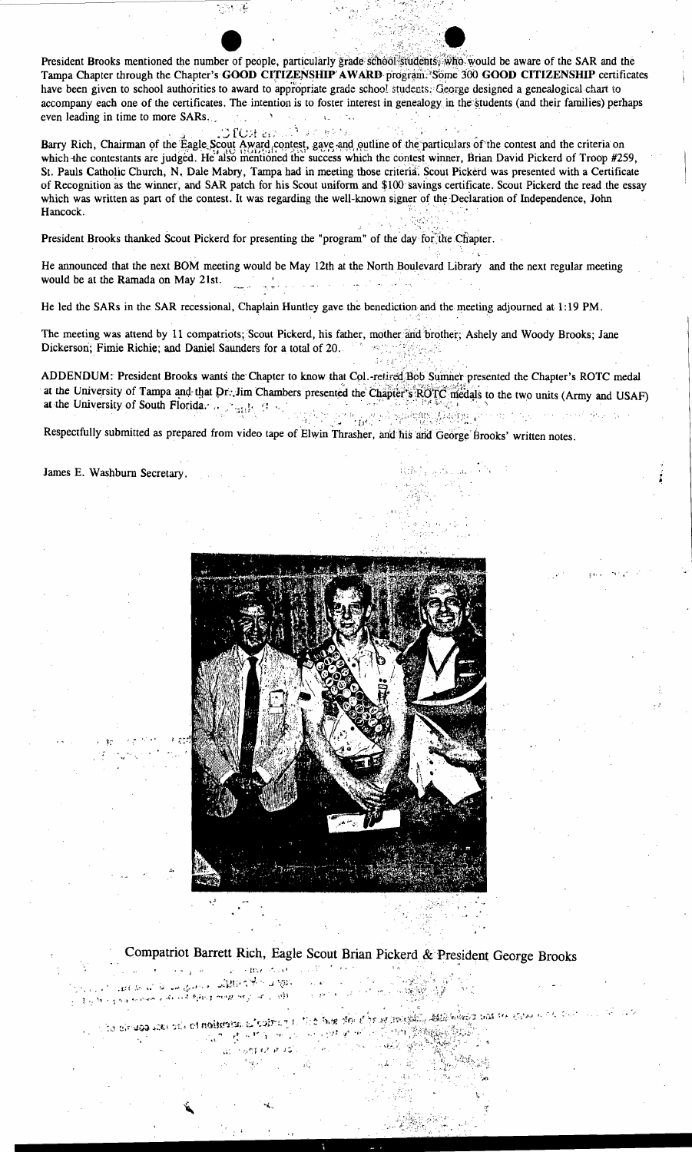President Brooks mentioned the number of people, particularly grade school students. who would be aware of the SAR and the Tampa Chapter through the Chapter's GOOD CITIZENSHIP AWARD program. Some 300 GOOD CITIZENSHIP certificates have been given to school authorities to award to appropriate grade school students. George designed a genealogical chart to accompany each one of the certificates. The intention is to foster interest in genealogy in the students (and their families) perhaps even leading in time to more SARs.  $\mathbf{A}$ 

 $\Omega_{\rm DM}$  as Barry Rich, Chairman of the Eagle Scout Award contest, gave and outline of the particulars of the contest and the criteria on which the contestants are judged. He also mentioned the success which the contest winner, Brian David Pickerd of Troop #259, St. Pauls Catholic Church, N. Dale Mabry, Tampa had in meeting those criteria. Scout Pickerd was presented with a Certificate of Recognition as the winner, and SAR patch for his Scout uniform and \$100 savings certificate. Scout Pickerd the read the essay which was written as part of the contest. It was regarding the well-known signer of the Declaration of Independence, John Hancock.

 $\sim 30\,M_\odot$ 

President Brooks thanked Scout Pickerd for presenting the "program" of the day for the Chapter.

He announced that the next BOM meeting would be May 12th at the North Boulevard Library and the next regular meeting would be at the Ramada on May 21st.

He led the SARs in the SAR recessional, Chaplain Huntley gave the benediction and the meeting adjourned at 1:19 PM.

The meeting was attend by 11 compatriots; Scout Pickerd, his father, mother and brother; Ashely and Woody Brooks; Jane Dickerson; Fimie Richie; and Daniel Saunders for a total of 20. """""""

ADDENDUM: President Brooks wants the Chapter to know that Col.-retired Bob Sumner presented the Chapter's ROTC medal at the University of Tampa and that Dr. Jim Chambers presented the Chapter's ROTC medals to the two units (Army and USAF) at the University of South Florida.  $\mathbb{R}_{\geq 0}$  and  $\mathbb{R}_{\geq 0}$ 

mek.

Respectfully submitted as prepared from video tape of Elwin Thrasher, and his and George Brooks' written notes.

#### James E. Washburn Secretary.



# Compatriot Barrett Rich, Eagle Scout Brian Pickerd & President George Brooks

The SEBRA POINT COUNTY OF أناد المعاني المناسب وتقالية المسابقة المحافظ المحافظة المحافظة المحافظة المستوردة المحافظة المحافظة المحافظة المحافظة المحافظة المحافظة<br>- المؤاد المحافظة المحافظة المحافظة المحافظة المحافظة المحافظة المحافظة المحافظة المحافظة المحافظة المحاف

a la ciraco saciada estudiscona alcoita y la lice has del sópar neigha assistante das se sava a ca ani  $\sim$  $\left\langle \mathbf{u}_{k}^{n}\right\rangle \left\langle \mathbf{p}^{n}\mathbf{f}^{n}\mathbf{f}^{n}\mathbf{f}^{n}\mathbf{f}^{n}\mathbf{f}^{n}\right\rangle =\left\langle \mathbf{v}_{k}^{n}\right\rangle ^{n-1}\left\langle \mathbf{v}_{k}\right\rangle ^{n}$ فأفهد بريهين